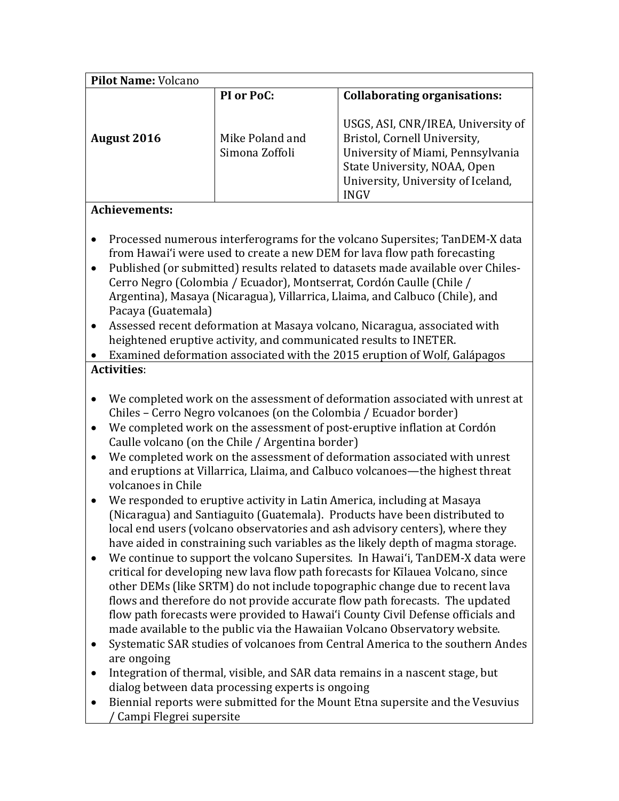| Pilot Name: Volcano                                                                                                                                  |                                                                                                       |                                                                                                                                                                                                                                                                                                                                                                                                                                                                                                                                                                                                                                                                                                                                                                                                                                                                                                                                                                                                                                                                                                                                                                                                                                                                                                                                                                                                                                                                                 |  |  |
|------------------------------------------------------------------------------------------------------------------------------------------------------|-------------------------------------------------------------------------------------------------------|---------------------------------------------------------------------------------------------------------------------------------------------------------------------------------------------------------------------------------------------------------------------------------------------------------------------------------------------------------------------------------------------------------------------------------------------------------------------------------------------------------------------------------------------------------------------------------------------------------------------------------------------------------------------------------------------------------------------------------------------------------------------------------------------------------------------------------------------------------------------------------------------------------------------------------------------------------------------------------------------------------------------------------------------------------------------------------------------------------------------------------------------------------------------------------------------------------------------------------------------------------------------------------------------------------------------------------------------------------------------------------------------------------------------------------------------------------------------------------|--|--|
|                                                                                                                                                      | PI or PoC:                                                                                            | <b>Collaborating organisations:</b>                                                                                                                                                                                                                                                                                                                                                                                                                                                                                                                                                                                                                                                                                                                                                                                                                                                                                                                                                                                                                                                                                                                                                                                                                                                                                                                                                                                                                                             |  |  |
| <b>August 2016</b>                                                                                                                                   | Mike Poland and<br>Simona Zoffoli                                                                     | USGS, ASI, CNR/IREA, University of<br>Bristol, Cornell University,<br>University of Miami, Pennsylvania<br>State University, NOAA, Open<br>University, University of Iceland,<br><b>INGV</b>                                                                                                                                                                                                                                                                                                                                                                                                                                                                                                                                                                                                                                                                                                                                                                                                                                                                                                                                                                                                                                                                                                                                                                                                                                                                                    |  |  |
| <b>Achievements:</b>                                                                                                                                 |                                                                                                       |                                                                                                                                                                                                                                                                                                                                                                                                                                                                                                                                                                                                                                                                                                                                                                                                                                                                                                                                                                                                                                                                                                                                                                                                                                                                                                                                                                                                                                                                                 |  |  |
| $\bullet$<br>$\bullet$<br>Pacaya (Guatemala)<br>$\bullet$                                                                                            |                                                                                                       | Processed numerous interferograms for the volcano Supersites; TanDEM-X data<br>from Hawai'i were used to create a new DEM for lava flow path forecasting<br>Published (or submitted) results related to datasets made available over Chiles-<br>Cerro Negro (Colombia / Ecuador), Montserrat, Cordón Caulle (Chile /<br>Argentina), Masaya (Nicaragua), Villarrica, Llaima, and Calbuco (Chile), and<br>Assessed recent deformation at Masaya volcano, Nicaragua, associated with<br>heightened eruptive activity, and communicated results to INETER.<br>Examined deformation associated with the 2015 eruption of Wolf, Galápagos                                                                                                                                                                                                                                                                                                                                                                                                                                                                                                                                                                                                                                                                                                                                                                                                                                             |  |  |
| <b>Activities:</b>                                                                                                                                   |                                                                                                       |                                                                                                                                                                                                                                                                                                                                                                                                                                                                                                                                                                                                                                                                                                                                                                                                                                                                                                                                                                                                                                                                                                                                                                                                                                                                                                                                                                                                                                                                                 |  |  |
| ٠<br>٠<br>$\bullet$<br>volcanoes in Chile<br>$\bullet$<br>$\bullet$<br>$\bullet$<br>are ongoing<br>$\bullet$<br>$\bullet$<br>Campi Flegrei supersite | Caulle volcano (on the Chile / Argentina border)<br>dialog between data processing experts is ongoing | We completed work on the assessment of deformation associated with unrest at<br>Chiles - Cerro Negro volcanoes (on the Colombia / Ecuador border)<br>We completed work on the assessment of post-eruptive inflation at Cordón<br>We completed work on the assessment of deformation associated with unrest<br>and eruptions at Villarrica, Llaima, and Calbuco volcanoes-the highest threat<br>We responded to eruptive activity in Latin America, including at Masaya<br>(Nicaragua) and Santiaguito (Guatemala). Products have been distributed to<br>local end users (volcano observatories and ash advisory centers), where they<br>have aided in constraining such variables as the likely depth of magma storage.<br>We continue to support the volcano Supersites. In Hawai'i, TanDEM-X data were<br>critical for developing new lava flow path forecasts for Kilauea Volcano, since<br>other DEMs (like SRTM) do not include topographic change due to recent lava<br>flows and therefore do not provide accurate flow path forecasts. The updated<br>flow path forecasts were provided to Hawai'i County Civil Defense officials and<br>made available to the public via the Hawaiian Volcano Observatory website.<br>Systematic SAR studies of volcanoes from Central America to the southern Andes<br>Integration of thermal, visible, and SAR data remains in a nascent stage, but<br>Biennial reports were submitted for the Mount Etna supersite and the Vesuvius |  |  |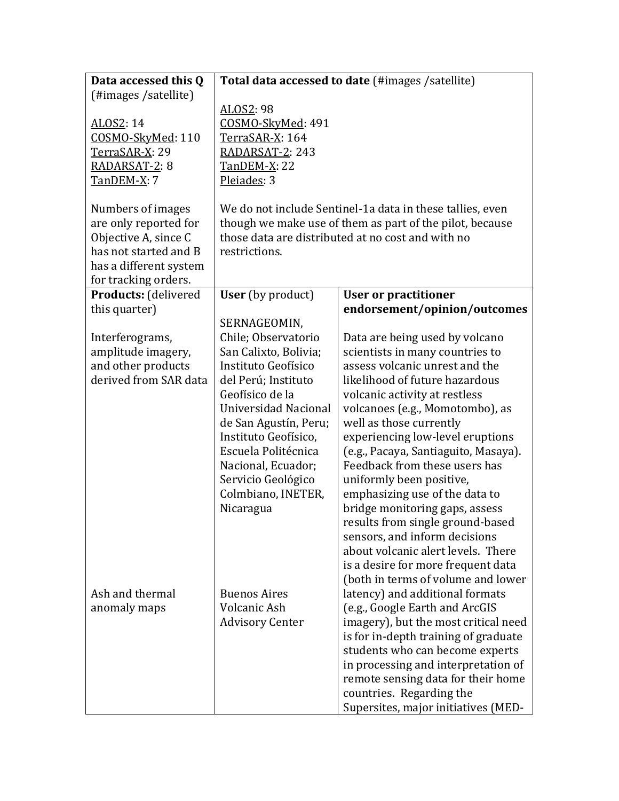| Data accessed this Q                                                                                                                          |                                                                                                                                                                                                                                                                                                              | <b>Total data accessed to date (#images /satellite)</b>                                                                                                                                                                                                                                                                                                                                                                                                                                                                                                                                                                                  |
|-----------------------------------------------------------------------------------------------------------------------------------------------|--------------------------------------------------------------------------------------------------------------------------------------------------------------------------------------------------------------------------------------------------------------------------------------------------------------|------------------------------------------------------------------------------------------------------------------------------------------------------------------------------------------------------------------------------------------------------------------------------------------------------------------------------------------------------------------------------------------------------------------------------------------------------------------------------------------------------------------------------------------------------------------------------------------------------------------------------------------|
| (#images /satellite)                                                                                                                          |                                                                                                                                                                                                                                                                                                              |                                                                                                                                                                                                                                                                                                                                                                                                                                                                                                                                                                                                                                          |
| ALOS2: 14<br>COSMO-SkyMed: 110<br>TerraSAR-X: 29<br>RADARSAT-2: 8                                                                             | ALOS2: 98<br>COSMO-SkyMed: 491<br>TerraSAR-X: 164<br>RADARSAT-2: 243<br><b>TanDEM-X: 22</b>                                                                                                                                                                                                                  |                                                                                                                                                                                                                                                                                                                                                                                                                                                                                                                                                                                                                                          |
| TanDEM-X: 7                                                                                                                                   | Pleiades: 3                                                                                                                                                                                                                                                                                                  |                                                                                                                                                                                                                                                                                                                                                                                                                                                                                                                                                                                                                                          |
| Numbers of images<br>are only reported for<br>Objective A, since C<br>has not started and B<br>has a different system<br>for tracking orders. | We do not include Sentinel-1a data in these tallies, even<br>though we make use of them as part of the pilot, because<br>those data are distributed at no cost and with no<br>restrictions.                                                                                                                  |                                                                                                                                                                                                                                                                                                                                                                                                                                                                                                                                                                                                                                          |
| Products: (delivered                                                                                                                          | <b>User</b> (by product)                                                                                                                                                                                                                                                                                     | <b>User or practitioner</b>                                                                                                                                                                                                                                                                                                                                                                                                                                                                                                                                                                                                              |
| this quarter)                                                                                                                                 |                                                                                                                                                                                                                                                                                                              | endorsement/opinion/outcomes                                                                                                                                                                                                                                                                                                                                                                                                                                                                                                                                                                                                             |
| Interferograms,<br>amplitude imagery,<br>and other products<br>derived from SAR data                                                          | SERNAGEOMIN,<br>Chile; Observatorio<br>San Calixto, Bolivia;<br>Instituto Geofísico<br>del Perú; Instituto<br>Geofísico de la<br>Universidad Nacional<br>de San Agustín, Peru;<br>Instituto Geofísico,<br>Escuela Politécnica<br>Nacional, Ecuador;<br>Servicio Geológico<br>Colmbiano, INETER,<br>Nicaragua | Data are being used by volcano<br>scientists in many countries to<br>assess volcanic unrest and the<br>likelihood of future hazardous<br>volcanic activity at restless<br>volcanoes (e.g., Momotombo), as<br>well as those currently<br>experiencing low-level eruptions<br>(e.g., Pacaya, Santiaguito, Masaya).<br>Feedback from these users has<br>uniformly been positive,<br>emphasizing use of the data to<br>bridge monitoring gaps, assess<br>results from single ground-based<br>sensors, and inform decisions<br>about volcanic alert levels. There<br>is a desire for more frequent data<br>(both in terms of volume and lower |
| Ash and thermal<br>anomaly maps                                                                                                               | <b>Buenos Aires</b><br>Volcanic Ash<br><b>Advisory Center</b>                                                                                                                                                                                                                                                | latency) and additional formats<br>(e.g., Google Earth and ArcGIS<br>imagery), but the most critical need<br>is for in-depth training of graduate<br>students who can become experts<br>in processing and interpretation of<br>remote sensing data for their home<br>countries. Regarding the<br>Supersites, major initiatives (MED-                                                                                                                                                                                                                                                                                                     |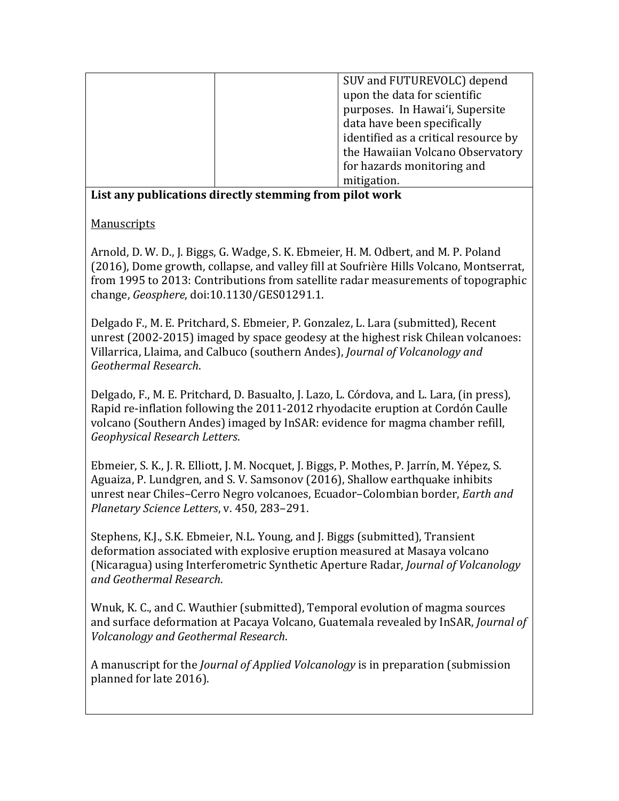| SUV and FUTUREVOLC) depend           |
|--------------------------------------|
| upon the data for scientific         |
| purposes. In Hawai'i, Supersite      |
| data have been specifically          |
| identified as a critical resource by |
| the Hawaiian Volcano Observatory     |
| for hazards monitoring and           |
| mitigation.                          |

## **List any publications directly stemming from pilot work**

## Manuscripts

Arnold, D. W. D., J. Biggs, G. Wadge, S. K. Ebmeier, H. M. Odbert, and M. P. Poland (2016), Dome growth, collapse, and valley fill at Soufrière Hills Volcano, Montserrat, from 1995 to 2013: Contributions from satellite radar measurements of topographic change, *Geosphere*, doi:10.1130/GES01291.1.

Delgado F., M. E. Pritchard, S. Ebmeier, P. Gonzalez, L. Lara (submitted), Recent unrest (2002-2015) imaged by space geodesy at the highest risk Chilean volcanoes: Villarrica, Llaima, and Calbuco (southern Andes), *Journal of Volcanology and Geothermal Research*.

Delgado, F., M. E. Pritchard, D. Basualto, J. Lazo, L. Córdova, and L. Lara, (in press), Rapid re-inflation following the 2011-2012 rhyodacite eruption at Cordón Caulle volcano (Southern Andes) imaged by InSAR: evidence for magma chamber refill, *Geophysical Research Letters*.

Ebmeier, S. K., J. R. Elliott, J. M. Nocquet, J. Biggs, P. Mothes, P. Jarrín, M. Yépez, S. Aguaiza, P. Lundgren, and S. V. Samsonov (2016), Shallow earthquake inhibits unrest near Chiles–Cerro Negro volcanoes, Ecuador–Colombian border, *Earth and Planetary Science Letters*, v. 450, 283–291.

Stephens, K.J., S.K. Ebmeier, N.L. Young, and J. Biggs (submitted), Transient deformation associated with explosive eruption measured at Masaya volcano (Nicaragua) using Interferometric Synthetic Aperture Radar, *Journal of Volcanology and Geothermal Research*.

Wnuk, K. C., and C. Wauthier (submitted), Temporal evolution of magma sources and surface deformation at Pacaya Volcano, Guatemala revealed by InSAR, *Journal of Volcanology and Geothermal Research*.

A manuscript for the *Journal of Applied Volcanology* is in preparation (submission planned for late 2016).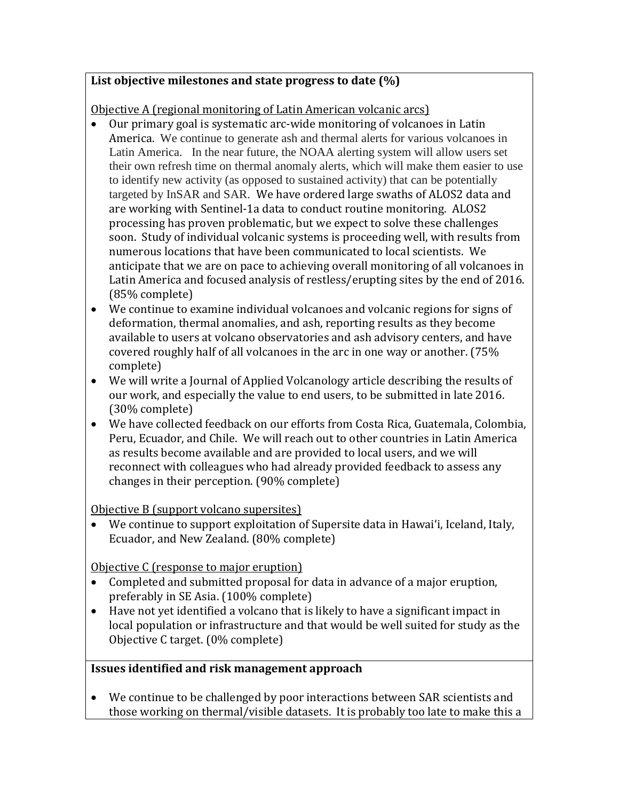## **List objective milestones and state progress to date (%)**

Objective A (regional monitoring of Latin American volcanic arcs)<br>• Our primary goal is systematic arc-wide monitoring of volcano

- Our primary goal is systematic arc-wide monitoring of volcanoes in Latin America. We continue to generate ash and thermal alerts for various volcanoes in Latin America. In the near future, the NOAA alerting system will allow users set their own refresh time on thermal anomaly alerts, which will make them easier to use to identify new activity (as opposed to sustained activity) that can be potentially targeted by InSAR and SAR. We have ordered large swaths of ALOS2 data and are working with Sentinel-1a data to conduct routine monitoring. ALOS2 processing has proven problematic, but we expect to solve these challenges soon. Study of individual volcanic systems is proceeding well, with results from numerous locations that have been communicated to local scientists. We anticipate that we are on pace to achieving overall monitoring of all volcanoes in Latin America and focused analysis of restless/erupting sites by the end of 2016. (85% complete)
- We continue to examine individual volcanoes and volcanic regions for signs of deformation, thermal anomalies, and ash, reporting results as they become available to users at volcano observatories and ash advisory centers, and have covered roughly half of all volcanoes in the arc in one way or another. (75% complete)
- We will write a Journal of Applied Volcanology article describing the results of our work, and especially the value to end users, to be submitted in late 2016. (30% complete)
- We have collected feedback on our efforts from Costa Rica, Guatemala, Colombia, Peru, Ecuador, and Chile. We will reach out to other countries in Latin America as results become available and are provided to local users, and we will reconnect with colleagues who had already provided feedback to assess any changes in their perception. (90% complete)

Objective B (support volcano supersites)

• We continue to support exploitation of Supersite data in Hawaiʻi, Iceland, Italy, Ecuador, and New Zealand. (80% complete)

Objective C (response to major eruption)

- Completed and submitted proposal for data in advance of a major eruption, preferably in SE Asia. (100% complete)
- Have not yet identified a volcano that is likely to have a significant impact in local population or infrastructure and that would be well suited for study as the Objective C target. (0% complete)

## **Issues identified and risk management approach**

• We continue to be challenged by poor interactions between SAR scientists and those working on thermal/visible datasets. It is probably too late to make this a